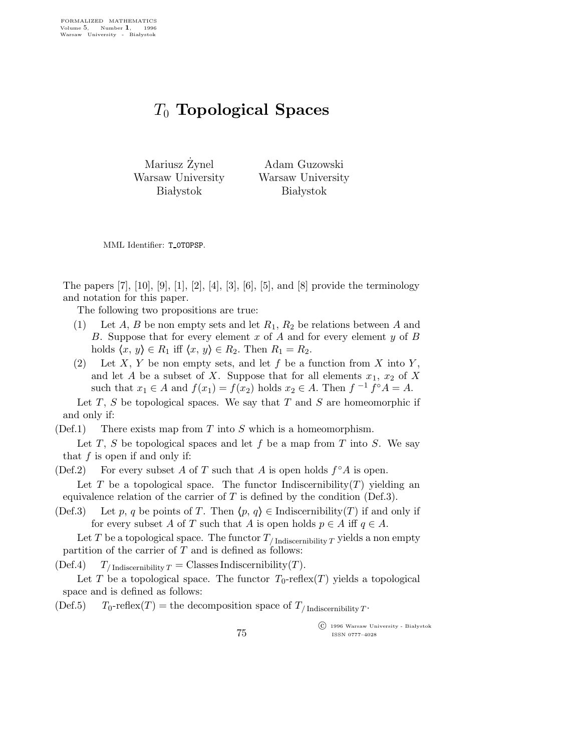## $T_0$  Topological Spaces

Mariusz Żynel Warsaw University **Białystok** 

Adam Guzowski Warsaw University **Białystok** 

MML Identifier: T 0TOPSP.

The papers  $[7]$ ,  $[10]$ ,  $[9]$ ,  $[1]$ ,  $[2]$ ,  $[4]$ ,  $[3]$ ,  $[6]$ ,  $[5]$ , and  $[8]$  provide the terminology and notation for this paper.

The following two propositions are true:

- (1) Let A, B be non empty sets and let  $R_1, R_2$  be relations between A and B. Suppose that for every element  $x$  of  $A$  and for every element  $y$  of  $B$ holds  $\langle x, y \rangle \in R_1$  iff  $\langle x, y \rangle \in R_2$ . Then  $R_1 = R_2$ .
- (2) Let X, Y be non empty sets, and let f be a function from X into Y, and let A be a subset of X. Suppose that for all elements  $x_1, x_2$  of X such that  $x_1 \in A$  and  $f(x_1) = f(x_2)$  holds  $x_2 \in A$ . Then  $f^{-1} f^{\circ} A = A$ .

Let  $T$ ,  $S$  be topological spaces. We say that  $T$  and  $S$  are homeomorphic if and only if:

 $(Def.1)$  There exists map from T into S which is a homeomorphism.

Let  $T$ ,  $S$  be topological spaces and let  $f$  be a map from  $T$  into  $S$ . We say that  $f$  is open if and only if:

- (Def.2) For every subset A of T such that A is open holds  $f^{\circ}A$  is open. Let T be a topological space. The functor Indiscernibility  $(T)$  yielding an equivalence relation of the carrier of  $T$  is defined by the condition (Def.3).
- (Def.3) Let p, q be points of T. Then  $\langle p, q \rangle \in \text{Indiscernibility}(T)$  if and only if for every subset A of T such that A is open holds  $p \in A$  iff  $q \in A$ .

Let T be a topological space. The functor  $T_{/\text{Indiscernibility }T}$  yields a non empty partition of the carrier of  $T$  and is defined as follows:

(Def.4)  $T_{/\text{Indiscernibility }T} = \text{Classes Indiscernibility}(T).$ 

Let T be a topological space. The functor  $T_0$ -reflex(T) yields a topological space and is defined as follows:

(Def.5)  $T_0$ -reflex(T) = the decomposition space of  $T_{\text{/Indiscernibility}}$ .

 c 1996 Warsaw University - Bia lystok ISSN 0777–4028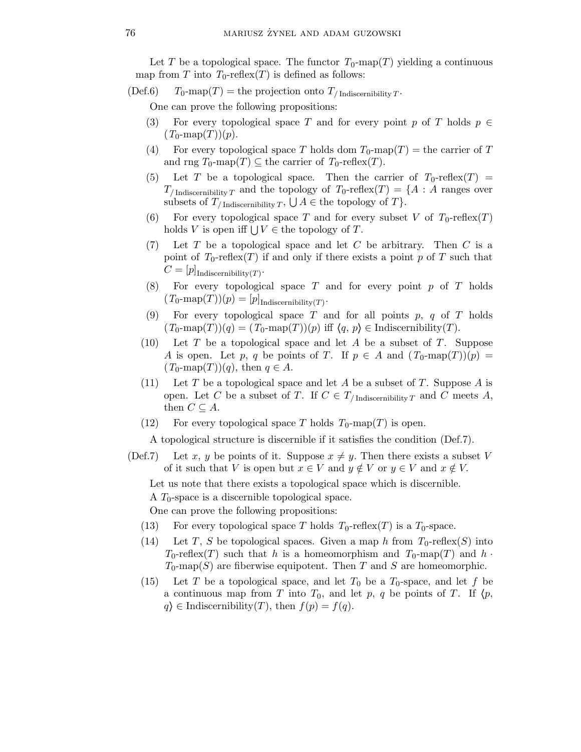Let T be a topological space. The functor  $T_0$ -map(T) yielding a continuous map from T into  $T_0$ -reflex(T) is defined as follows:

(Def.6)  $T_0$ -map $(T)$  = the projection onto  $T_{\text{/}\text{Indiscernibility}}$   $T$ .

One can prove the following propositions:

- (3) For every topological space T and for every point p of T holds  $p \in$  $(T_0\text{-map}(T))(p).$
- (4) For every topological space T holds dom  $T_0$ -map $(T)$  = the carrier of T and rng  $T_0$ -map $(T) \subseteq$  the carrier of  $T_0$ -reflex $(T)$ .
- (5) Let T be a topological space. Then the carrier of  $T_0$ -reflex(T) =  $T_{/\text{Indiscernibility }T}$  and the topology of  $T_0$ -reflex $(T) = \{A : A \text{ ranges over }T\}$ subsets of  $T_{/\text{Indiscernibility }T}$ ,  $\bigcup A \in \text{the topology of } T$ .
- (6) For every topological space T and for every subset V of  $T_0$ -reflex(T) holds V is open iff  $\bigcup V \in$  the topology of T.
- $(7)$  Let T be a topological space and let C be arbitrary. Then C is a point of  $T_0$ -reflex $(T)$  if and only if there exists a point p of T such that  $C=[p]$ <sub>Indiscernibility</sub> $(T)$ .
- $(8)$  For every topological space T and for every point p of T holds  $(T_0\text{-map}(T))(p) = [p]_{\text{Indiscernibility}(T)}.$
- (9) For every topological space  $T$  and for all points  $p, q$  of  $T$  holds  $(T_0\text{-map}(T))(q) = (T_0\text{-map}(T))(p)$  iff  $\langle q, p \rangle \in \text{Indiscernibility}(T)$ .
- $(10)$  Let T be a topological space and let A be a subset of T. Suppose A is open. Let p, q be points of T. If  $p \in A$  and  $(T_0\text{-map}(T))(p) =$  $(T_0\text{-map}(T))(q)$ , then  $q \in A$ .
- (11) Let T be a topological space and let A be a subset of T. Suppose A is open. Let C be a subset of T. If  $C \in T_{/\text{Indiscernibility }T}$  and C meets A, then  $C \subseteq A$ .
- (12) For every topological space T holds  $T_0$ -map(T) is open.

A topological structure is discernible if it satisfies the condition (Def.7).

(Def.7) Let x, y be points of it. Suppose  $x \neq y$ . Then there exists a subset V of it such that V is open but  $x \in V$  and  $y \notin V$  or  $y \in V$  and  $x \notin V$ .

Let us note that there exists a topological space which is discernible.

A  $T_0$ -space is a discernible topological space.

One can prove the following propositions:

- (13) For every topological space T holds  $T_0$ -reflex(T) is a  $T_0$ -space.
- (14) Let T, S be topological spaces. Given a map h from  $T_0$ -reflex(S) into  $T_0$ -reflex(T) such that h is a homeomorphism and  $T_0$ -map(T) and h ·  $T_0$ -map(S) are fiberwise equipotent. Then T and S are homeomorphic.
- (15) Let T be a topological space, and let  $T_0$  be a  $T_0$ -space, and let f be a continuous map from T into  $T_0$ , and let p, q be points of T. If  $\langle p, \rangle$  $q \geq \text{Indiscernibility}(T)$ , then  $f(p) = f(q)$ .